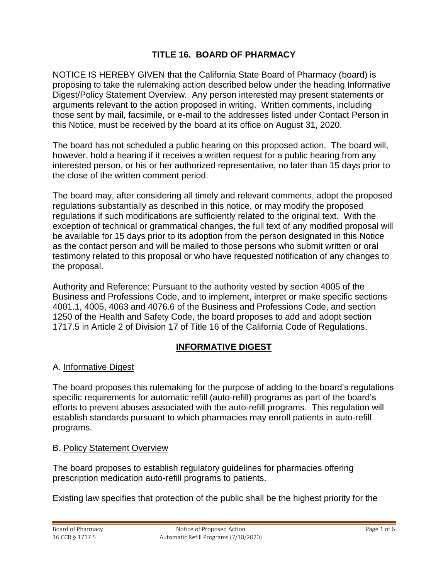# **TITLE 16. BOARD OF PHARMACY**

NOTICE IS HEREBY GIVEN that the California State Board of Pharmacy (board) is proposing to take the rulemaking action described below under the heading Informative Digest/Policy Statement Overview. Any person interested may present statements or arguments relevant to the action proposed in writing. Written comments, including those sent by mail, facsimile, or e-mail to the addresses listed under Contact Person in this Notice, must be received by the board at its office on August 31, 2020.

The board has not scheduled a public hearing on this proposed action. The board will, however, hold a hearing if it receives a written request for a public hearing from any interested person, or his or her authorized representative, no later than 15 days prior to the close of the written comment period.

The board may, after considering all timely and relevant comments, adopt the proposed regulations substantially as described in this notice, or may modify the proposed regulations if such modifications are sufficiently related to the original text. With the exception of technical or grammatical changes, the full text of any modified proposal will be available for 15 days prior to its adoption from the person designated in this Notice as the contact person and will be mailed to those persons who submit written or oral testimony related to this proposal or who have requested notification of any changes to the proposal.

Authority and Reference: Pursuant to the authority vested by section 4005 of the Business and Professions Code, and to implement, interpret or make specific sections 4001.1, 4005, 4063 and 4076.6 of the Business and Professions Code, and section 1250 of the Health and Safety Code, the board proposes to add and adopt section 1717.5 in Article 2 of Division 17 of Title 16 of the California Code of Regulations.

### **INFORMATIVE DIGEST**

### A. Informative Digest

The board proposes this rulemaking for the purpose of adding to the board's regulations specific requirements for automatic refill (auto-refill) programs as part of the board's efforts to prevent abuses associated with the auto-refill programs. This regulation will establish standards pursuant to which pharmacies may enroll patients in auto-refill programs.

#### B. Policy Statement Overview

The board proposes to establish regulatory guidelines for pharmacies offering prescription medication auto-refill programs to patients.

Existing law specifies that protection of the public shall be the highest priority for the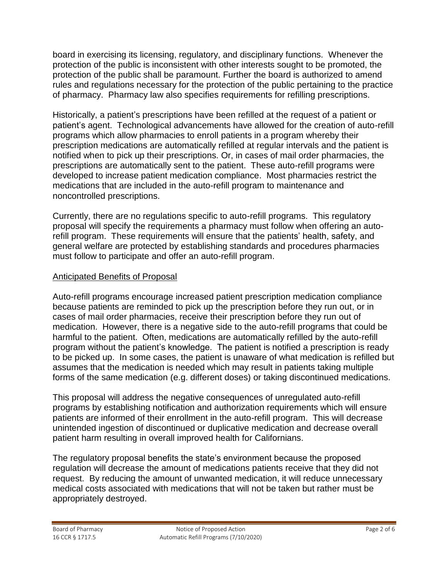board in exercising its licensing, regulatory, and disciplinary functions. Whenever the protection of the public is inconsistent with other interests sought to be promoted, the protection of the public shall be paramount. Further the board is authorized to amend rules and regulations necessary for the protection of the public pertaining to the practice of pharmacy. Pharmacy law also specifies requirements for refilling prescriptions.

Historically, a patient's prescriptions have been refilled at the request of a patient or patient's agent. Technological advancements have allowed for the creation of auto-refill programs which allow pharmacies to enroll patients in a program whereby their prescription medications are automatically refilled at regular intervals and the patient is notified when to pick up their prescriptions. Or, in cases of mail order pharmacies, the prescriptions are automatically sent to the patient. These auto-refill programs were developed to increase patient medication compliance. Most pharmacies restrict the medications that are included in the auto-refill program to maintenance and noncontrolled prescriptions.

Currently, there are no regulations specific to auto-refill programs. This regulatory proposal will specify the requirements a pharmacy must follow when offering an autorefill program. These requirements will ensure that the patients' health, safety, and general welfare are protected by establishing standards and procedures pharmacies must follow to participate and offer an auto-refill program.

## Anticipated Benefits of Proposal

Auto-refill programs encourage increased patient prescription medication compliance because patients are reminded to pick up the prescription before they run out, or in cases of mail order pharmacies, receive their prescription before they run out of medication. However, there is a negative side to the auto-refill programs that could be harmful to the patient. Often, medications are automatically refilled by the auto-refill program without the patient's knowledge. The patient is notified a prescription is ready to be picked up. In some cases, the patient is unaware of what medication is refilled but assumes that the medication is needed which may result in patients taking multiple forms of the same medication (e.g. different doses) or taking discontinued medications.

This proposal will address the negative consequences of unregulated auto-refill programs by establishing notification and authorization requirements which will ensure patients are informed of their enrollment in the auto-refill program. This will decrease unintended ingestion of discontinued or duplicative medication and decrease overall patient harm resulting in overall improved health for Californians.

The regulatory proposal benefits the state's environment because the proposed regulation will decrease the amount of medications patients receive that they did not request. By reducing the amount of unwanted medication, it will reduce unnecessary medical costs associated with medications that will not be taken but rather must be appropriately destroyed.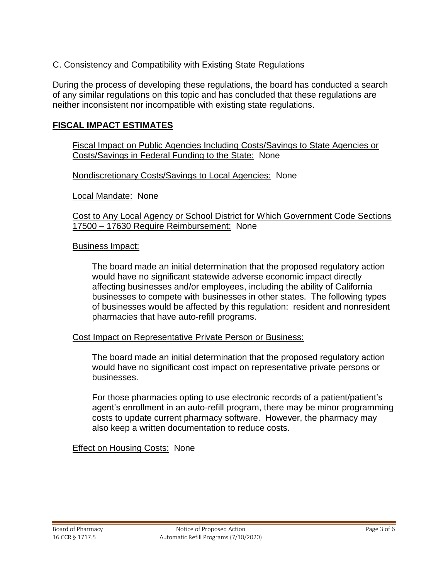# C. Consistency and Compatibility with Existing State Regulations

During the process of developing these regulations, the board has conducted a search of any similar regulations on this topic and has concluded that these regulations are neither inconsistent nor incompatible with existing state regulations.

### **FISCAL IMPACT ESTIMATES**

Fiscal Impact on Public Agencies Including Costs/Savings to State Agencies or Costs/Savings in Federal Funding to the State: None

Nondiscretionary Costs/Savings to Local Agencies: None

Local Mandate: None

Cost to Any Local Agency or School District for Which Government Code Sections 17500 – 17630 Require Reimbursement: None

#### Business Impact:

The board made an initial determination that the proposed regulatory action would have no significant statewide adverse economic impact directly affecting businesses and/or employees, including the ability of California businesses to compete with businesses in other states. The following types of businesses would be affected by this regulation: resident and nonresident pharmacies that have auto-refill programs.

#### Cost Impact on Representative Private Person or Business:

The board made an initial determination that the proposed regulatory action would have no significant cost impact on representative private persons or businesses.

For those pharmacies opting to use electronic records of a patient/patient's agent's enrollment in an auto-refill program, there may be minor programming costs to update current pharmacy software. However, the pharmacy may also keep a written documentation to reduce costs.

Effect on Housing Costs: None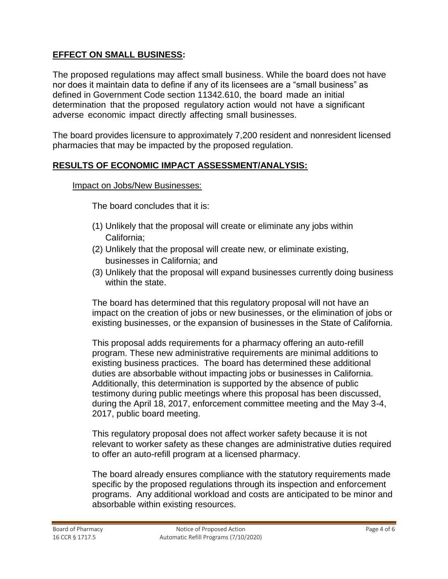# **EFFECT ON SMALL BUSINESS:**

The proposed regulations may affect small business. While the board does not have nor does it maintain data to define if any of its licensees are a "small business" as defined in Government Code section 11342.610, the board made an initial determination that the proposed regulatory action would not have a significant adverse economic impact directly affecting small businesses.

The board provides licensure to approximately 7,200 resident and nonresident licensed pharmacies that may be impacted by the proposed regulation.

## **RESULTS OF ECONOMIC IMPACT ASSESSMENT/ANALYSIS:**

#### Impact on Jobs/New Businesses:

The board concludes that it is:

- (1) Unlikely that the proposal will create or eliminate any jobs within California;
- (2) Unlikely that the proposal will create new, or eliminate existing, businesses in California; and
- (3) Unlikely that the proposal will expand businesses currently doing business within the state.

The board has determined that this regulatory proposal will not have an impact on the creation of jobs or new businesses, or the elimination of jobs or existing businesses, or the expansion of businesses in the State of California.

This proposal adds requirements for a pharmacy offering an auto-refill program. These new administrative requirements are minimal additions to existing business practices. The board has determined these additional duties are absorbable without impacting jobs or businesses in California. Additionally, this determination is supported by the absence of public testimony during public meetings where this proposal has been discussed, during the April 18, 2017, enforcement committee meeting and the May 3-4, 2017, public board meeting.

This regulatory proposal does not affect worker safety because it is not relevant to worker safety as these changes are administrative duties required to offer an auto-refill program at a licensed pharmacy.

The board already ensures compliance with the statutory requirements made specific by the proposed regulations through its inspection and enforcement programs. Any additional workload and costs are anticipated to be minor and absorbable within existing resources.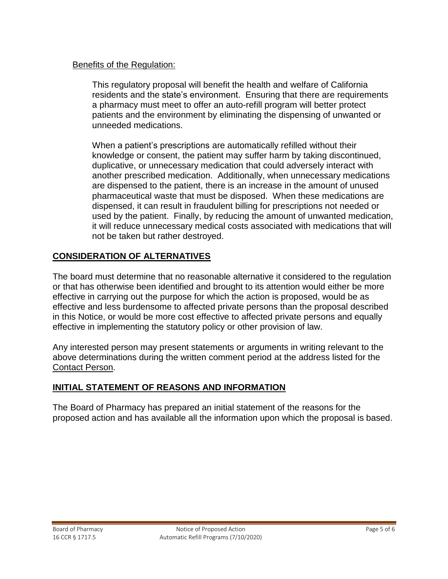### Benefits of the Regulation:

This regulatory proposal will benefit the health and welfare of California residents and the state's environment. Ensuring that there are requirements a pharmacy must meet to offer an auto-refill program will better protect patients and the environment by eliminating the dispensing of unwanted or unneeded medications.

When a patient's prescriptions are automatically refilled without their knowledge or consent, the patient may suffer harm by taking discontinued, duplicative, or unnecessary medication that could adversely interact with another prescribed medication. Additionally, when unnecessary medications are dispensed to the patient, there is an increase in the amount of unused pharmaceutical waste that must be disposed. When these medications are dispensed, it can result in fraudulent billing for prescriptions not needed or used by the patient. Finally, by reducing the amount of unwanted medication, it will reduce unnecessary medical costs associated with medications that will not be taken but rather destroyed.

# **CONSIDERATION OF ALTERNATIVES**

The board must determine that no reasonable alternative it considered to the regulation or that has otherwise been identified and brought to its attention would either be more effective in carrying out the purpose for which the action is proposed, would be as effective and less burdensome to affected private persons than the proposal described in this Notice, or would be more cost effective to affected private persons and equally effective in implementing the statutory policy or other provision of law.

Any interested person may present statements or arguments in writing relevant to the above determinations during the written comment period at the address listed for the Contact Person.

# **INITIAL STATEMENT OF REASONS AND INFORMATION**

The Board of Pharmacy has prepared an initial statement of the reasons for the proposed action and has available all the information upon which the proposal is based.